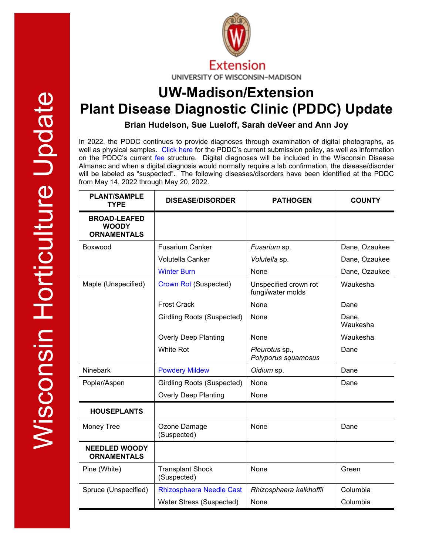

## **UW-Madison/Extension Plant Disease Diagnostic Clinic (PDDC) Update**

**Brian Hudelson, Sue Lueloff, Sarah deVeer and Ann Joy**

In 2022, the PDDC continues to provide diagnoses through examination of digital photographs, as well as physical samples. [Click here](https://pddc.wisc.edu/2022/01/12/january-2022-plant-disease-diagnostics-clinic-services-for-2022/) for the PDDC's current submission policy, as well as information on the PDDC's current [fee](https://pddc.wisc.edu/services-fees/) structure. Digital diagnoses will be included in the Wisconsin Disease Almanac and when a digital diagnosis would normally require a lab confirmation, the disease/disorder will be labeled as "suspected". The following diseases/disorders have been identified at the PDDC from May 14, 2022 through May 20, 2022.

| <b>PLANT/SAMPLE</b><br><b>TYPE</b>                        | <b>DISEASE/DISORDER</b>                | <b>PATHOGEN</b>                            | <b>COUNTY</b>     |
|-----------------------------------------------------------|----------------------------------------|--------------------------------------------|-------------------|
| <b>BROAD-LEAFED</b><br><b>WOODY</b><br><b>ORNAMENTALS</b> |                                        |                                            |                   |
| Boxwood                                                   | <b>Fusarium Canker</b>                 | Fusarium sp.                               | Dane, Ozaukee     |
|                                                           | <b>Volutella Canker</b>                | Volutella sp.                              | Dane, Ozaukee     |
|                                                           | <b>Winter Burn</b>                     | None                                       | Dane, Ozaukee     |
| Maple (Unspecified)                                       | <b>Crown Rot (Suspected)</b>           | Unspecified crown rot<br>fungi/water molds | Waukesha          |
|                                                           | <b>Frost Crack</b>                     | None                                       | Dane              |
|                                                           | <b>Girdling Roots (Suspected)</b>      | None                                       | Dane,<br>Waukesha |
|                                                           | <b>Overly Deep Planting</b>            | None                                       | Waukesha          |
|                                                           | <b>White Rot</b>                       | Pleurotus sp.,<br>Polyporus squamosus      | Dane              |
| <b>Ninebark</b>                                           | <b>Powdery Mildew</b>                  | Oidium sp.                                 | Dane              |
| Poplar/Aspen                                              | <b>Girdling Roots (Suspected)</b>      | None                                       | Dane              |
|                                                           | <b>Overly Deep Planting</b>            | None                                       |                   |
| <b>HOUSEPLANTS</b>                                        |                                        |                                            |                   |
| Money Tree                                                | Ozone Damage<br>(Suspected)            | None                                       | Dane              |
| <b>NEEDLED WOODY</b><br><b>ORNAMENTALS</b>                |                                        |                                            |                   |
| Pine (White)                                              | <b>Transplant Shock</b><br>(Suspected) | None                                       | Green             |
| Spruce (Unspecified)                                      | Rhizosphaera Needle Cast               | Rhizosphaera kalkhoffii                    | Columbia          |
|                                                           | Water Stress (Suspected)               | None                                       | Columbia          |